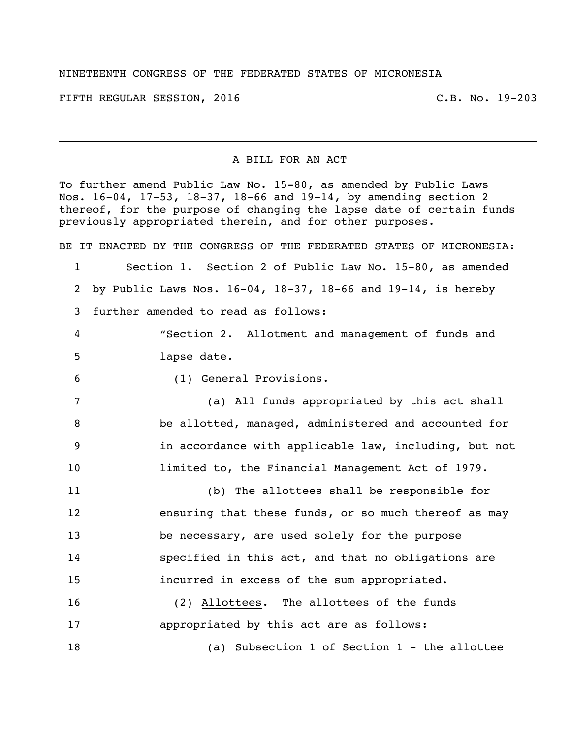## NINETEENTH CONGRESS OF THE FEDERATED STATES OF MICRONESIA

FIFTH REGULAR SESSION, 2016 C.B. No. 19-203

## A BILL FOR AN ACT

To further amend Public Law No. 15-80, as amended by Public Laws Nos. 16-04, 17-53, 18-37, 18-66 and 19-14, by amending section 2 thereof, for the purpose of changing the lapse date of certain funds previously appropriated therein, and for other purposes.

BE IT ENACTED BY THE CONGRESS OF THE FEDERATED STATES OF MICRONESIA: Section 1. Section 2 of Public Law No. 15-80, as amended by Public Laws Nos. 16-04, 18-37, 18-66 and 19-14, is hereby further amended to read as follows: "Section 2. Allotment and management of funds and lapse date. (1) General Provisions. (a) All funds appropriated by this act shall be allotted, managed, administered and accounted for in accordance with applicable law, including, but not limited to, the Financial Management Act of 1979. (b) The allottees shall be responsible for ensuring that these funds, or so much thereof as may be necessary, are used solely for the purpose specified in this act, and that no obligations are incurred in excess of the sum appropriated. (2) Allottees. The allottees of the funds

 appropriated by this act are as follows: (a) Subsection 1 of Section 1 - the allottee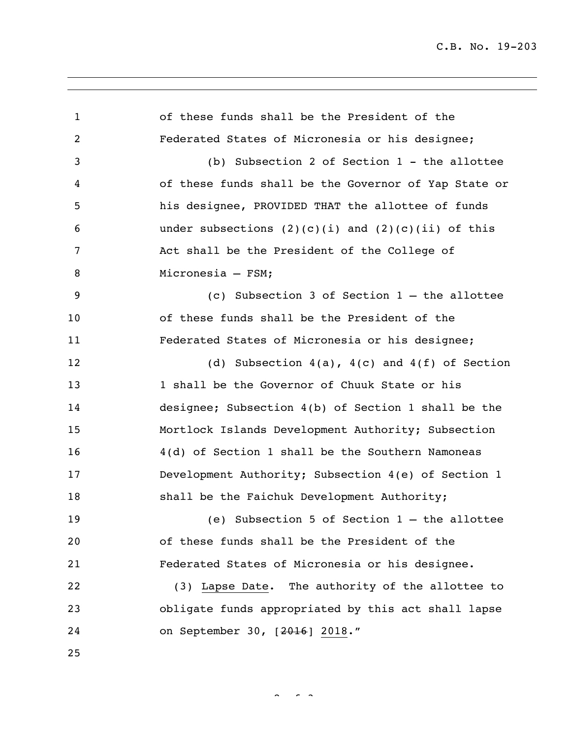| $\mathbf{1}$   | of these funds shall be the President of the           |
|----------------|--------------------------------------------------------|
| $\overline{c}$ | Federated States of Micronesia or his designee;        |
| 3              | (b) Subsection 2 of Section 1 - the allottee           |
| 4              | of these funds shall be the Governor of Yap State or   |
| 5              | his designee, PROVIDED THAT the allottee of funds      |
| 6              | under subsections $(2)(c)(i)$ and $(2)(c)(ii)$ of this |
| 7              | Act shall be the President of the College of           |
| 8              | Micronesia - FSM;                                      |
| 9              | (c) Subsection 3 of Section $1$ - the allottee         |
| 10             | of these funds shall be the President of the           |
| 11             | Federated States of Micronesia or his designee;        |
| 12             | (d) Subsection $4(a)$ , $4(c)$ and $4(f)$ of Section   |
| 13             | 1 shall be the Governor of Chuuk State or his          |
| 14             | designee; Subsection 4(b) of Section 1 shall be the    |
| 15             | Mortlock Islands Development Authority; Subsection     |
| 16             | 4(d) of Section 1 shall be the Southern Namoneas       |
| 17             | Development Authority; Subsection 4(e) of Section 1    |
| 18             | shall be the Faichuk Development Authority;            |
| 19             | (e) Subsection 5 of Section $1$ - the allottee         |
| 20             | of these funds shall be the President of the           |
| 21             | Federated States of Micronesia or his designee.        |
| 22             | (3) Lapse Date. The authority of the allottee to       |
| 23             | obligate funds appropriated by this act shall lapse    |
| 24             | on September 30, [2016] 2018."                         |
| 25             |                                                        |

 $2 \times 3$